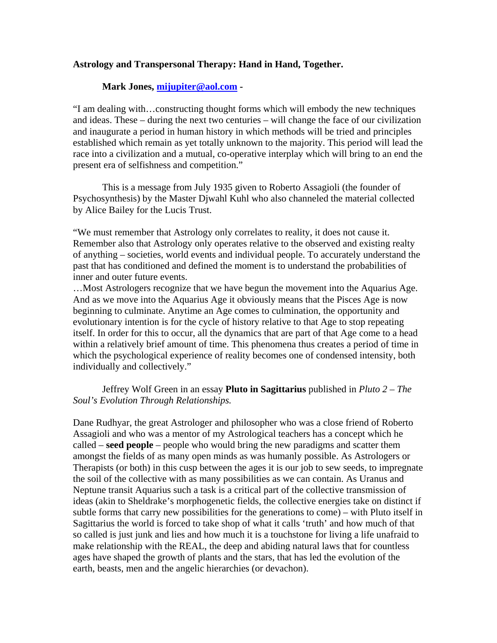## **Astrology and Transpersonal Therapy: Hand in Hand, Together.**

## **Mark Jones, [mijupiter@aol.com](mailto:mijupiter@aol.com) -**

"I am dealing with…constructing thought forms which will embody the new techniques and ideas. These – during the next two centuries – will change the face of our civilization and inaugurate a period in human history in which methods will be tried and principles established which remain as yet totally unknown to the majority. This period will lead the race into a civilization and a mutual, co-operative interplay which will bring to an end the present era of selfishness and competition."

 This is a message from July 1935 given to Roberto Assagioli (the founder of Psychosynthesis) by the Master Djwahl Kuhl who also channeled the material collected by Alice Bailey for the Lucis Trust.

"We must remember that Astrology only correlates to reality, it does not cause it. Remember also that Astrology only operates relative to the observed and existing realty of anything – societies, world events and individual people. To accurately understand the past that has conditioned and defined the moment is to understand the probabilities of inner and outer future events.

…Most Astrologers recognize that we have begun the movement into the Aquarius Age. And as we move into the Aquarius Age it obviously means that the Pisces Age is now beginning to culminate. Anytime an Age comes to culmination, the opportunity and evolutionary intention is for the cycle of history relative to that Age to stop repeating itself. In order for this to occur, all the dynamics that are part of that Age come to a head within a relatively brief amount of time. This phenomena thus creates a period of time in which the psychological experience of reality becomes one of condensed intensity, both individually and collectively."

## Jeffrey Wolf Green in an essay **Pluto in Sagittarius** published in *Pluto 2 – The Soul's Evolution Through Relationships.*

Dane Rudhyar, the great Astrologer and philosopher who was a close friend of Roberto Assagioli and who was a mentor of my Astrological teachers has a concept which he called – **seed people** – people who would bring the new paradigms and scatter them amongst the fields of as many open minds as was humanly possible. As Astrologers or Therapists (or both) in this cusp between the ages it is our job to sew seeds, to impregnate the soil of the collective with as many possibilities as we can contain. As Uranus and Neptune transit Aquarius such a task is a critical part of the collective transmission of ideas (akin to Sheldrake's morphogenetic fields, the collective energies take on distinct if subtle forms that carry new possibilities for the generations to come) – with Pluto itself in Sagittarius the world is forced to take shop of what it calls 'truth' and how much of that so called is just junk and lies and how much it is a touchstone for living a life unafraid to make relationship with the REAL, the deep and abiding natural laws that for countless ages have shaped the growth of plants and the stars, that has led the evolution of the earth, beasts, men and the angelic hierarchies (or devachon).